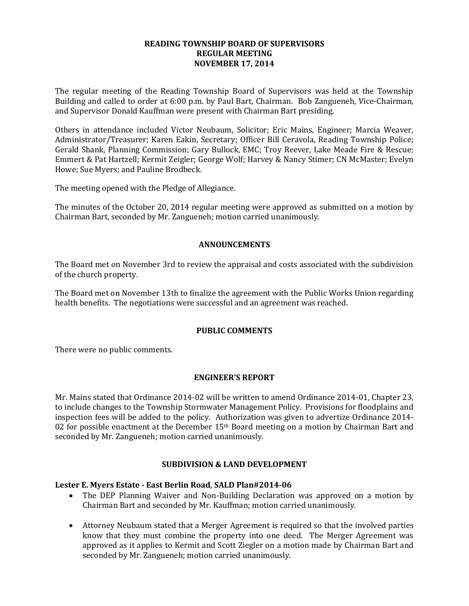# **READING TOWNSHIP BOARD OF SUPERVISORS REGULAR MEETING NOVEMBER 17, 2014**

The regular meeting of the Reading Township Board of Supervisors was held at the Township Building and called to order at 6:00 p.m. by Paul Bart, Chairman. Bob Zangueneh, Vice-Chairman, and Supervisor Donald Kauffman were present with Chairman Bart presiding.

Others in attendance included Victor Neubaum, Solicitor; Eric Mains, Engineer; Marcia Weaver, Administrator/Treasurer; Karen Eakin, Secretary; Officer Bill Ceravola, Reading Township Police; Gerald Shank, Planning Commission; Gary Bullock, EMC; Troy Reever, Lake Meade Fire & Rescue; Emmert & Pat Hartzell; Kermit Zeigler; George Wolf; Harvey & Nancy Stimer; CN McMaster; Evelyn Howe; Sue Myers; and Pauline Brodbeck.

The meeting opened with the Pledge of Allegiance.

The minutes of the October 20, 2014 regular meeting were approved as submitted on a motion by Chairman Bart, seconded by Mr. Zangueneh; motion carried unanimously.

# **ANNOUNCEMENTS**

The Board met on November 3rd to review the appraisal and costs associated with the subdivision of the church property.

The Board met on November 13th to finalize the agreement with the Public Works Union regarding health benefits. The negotiations were successful and an agreement was reached.

# **PUBLIC COMMENTS**

There were no public comments.

#### **ENGINEER'S REPORT**

Mr. Mains stated that Ordinance 2014-02 will be written to amend Ordinance 2014-01, Chapter 23, to include changes to the Township Stormwater Management Policy. Provisions for floodplains and inspection fees will be added to the policy. Authorization was given to advertize Ordinance 2014- 02 for possible enactment at the December  $15<sup>th</sup>$  Board meeting on a motion by Chairman Bart and seconded by Mr. Zangueneh; motion carried unanimously.

#### **SUBDIVISION & LAND DEVELOPMENT**

#### **Lester E. Myers Estate - East Berlin Road**, **SALD Plan#2014-06**

- The DEP Planning Waiver and Non-Building Declaration was approved on a motion by Chairman Bart and seconded by Mr. Kauffman; motion carried unanimously.
- Attorney Neubaum stated that a Merger Agreement is required so that the involved parties know that they must combine the property into one deed. The Merger Agreement was approved as it applies to Kermit and Scott Ziegler on a motion made by Chairman Bart and seconded by Mr. Zangueneh; motion carried unanimously.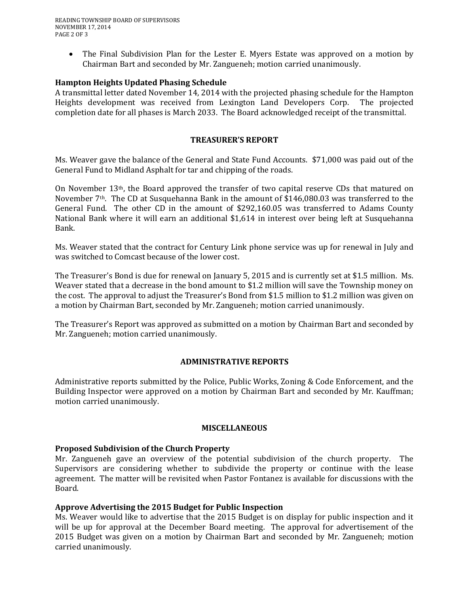• The Final Subdivision Plan for the Lester E. Myers Estate was approved on a motion by Chairman Bart and seconded by Mr. Zangueneh; motion carried unanimously.

# **Hampton Heights Updated Phasing Schedule**

A transmittal letter dated November 14, 2014 with the projected phasing schedule for the Hampton Heights development was received from Lexington Land Developers Corp. The projected completion date for all phases is March 2033. The Board acknowledged receipt of the transmittal.

# **TREASURER'S REPORT**

Ms. Weaver gave the balance of the General and State Fund Accounts. \$71,000 was paid out of the General Fund to Midland Asphalt for tar and chipping of the roads.

On November 13th, the Board approved the transfer of two capital reserve CDs that matured on November 7<sup>th</sup>. The CD at Susquehanna Bank in the amount of \$146,080.03 was transferred to the General Fund. The other CD in the amount of \$292,160.05 was transferred to Adams County National Bank where it will earn an additional \$1,614 in interest over being left at Susquehanna Bank.

Ms. Weaver stated that the contract for Century Link phone service was up for renewal in July and was switched to Comcast because of the lower cost.

The Treasurer's Bond is due for renewal on January 5, 2015 and is currently set at \$1.5 million. Ms. Weaver stated that a decrease in the bond amount to \$1.2 million will save the Township money on the cost. The approval to adjust the Treasurer's Bond from \$1.5 million to \$1.2 million was given on a motion by Chairman Bart, seconded by Mr. Zangueneh; motion carried unanimously.

The Treasurer's Report was approved as submitted on a motion by Chairman Bart and seconded by Mr. Zangueneh; motion carried unanimously.

# **ADMINISTRATIVE REPORTS**

Administrative reports submitted by the Police, Public Works, Zoning & Code Enforcement, and the Building Inspector were approved on a motion by Chairman Bart and seconded by Mr. Kauffman; motion carried unanimously.

#### **MISCELLANEOUS**

# **Proposed Subdivision of the Church Property**

Mr. Zangueneh gave an overview of the potential subdivision of the church property. The Supervisors are considering whether to subdivide the property or continue with the lease agreement. The matter will be revisited when Pastor Fontanez is available for discussions with the Board.

# **Approve Advertising the 2015 Budget for Public Inspection**

Ms. Weaver would like to advertise that the 2015 Budget is on display for public inspection and it will be up for approval at the December Board meeting. The approval for advertisement of the 2015 Budget was given on a motion by Chairman Bart and seconded by Mr. Zangueneh; motion carried unanimously.